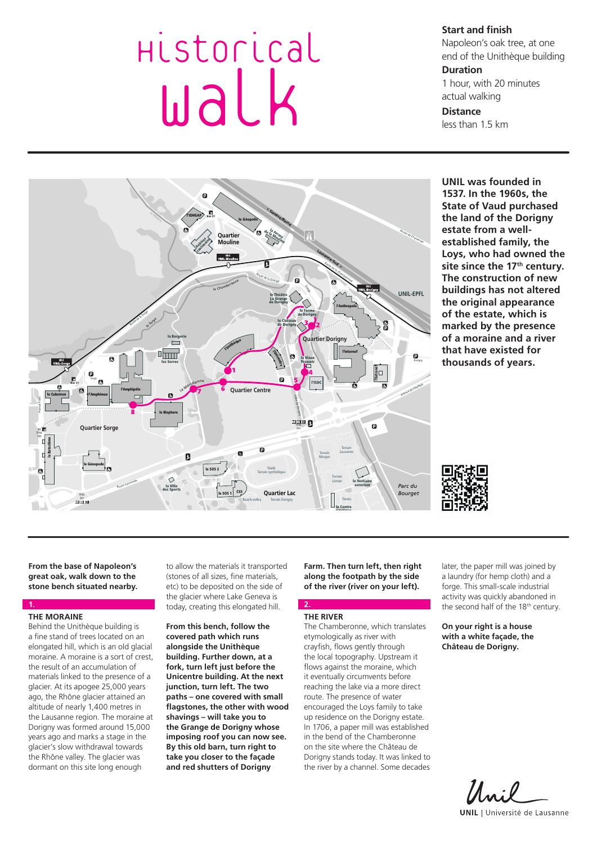# Historical walk

**Start and finish**

Napoleon's oak tree, at one end of the Unithèque building

#### **Duration**

1 hour, with 20 minutes actual walking

# **Distance**

less than 1.5 km



**UNIL was founded in 1537. In the 1960s, the State of Vaud purchased the land of the Dorigny estate from a wellestablished family, the Loys, who had owned the**  site since the 17<sup>th</sup> century. **The construction of new buildings has not altered the original appearance of the estate, which is marked by the presence of a moraine and a river that have existed for thousands of years.** 



**From the base of Napoleon's great oak, walk down to the stone bench situated nearby.**

# **THE MORAINE**

**1.**

Behind the Unithèque building is a fine stand of trees located on an elongated hill, which is an old glacial moraine. A moraine is a sort of crest, the result of an accumulation of materials linked to the presence of a glacier. At its apogee 25,000 years ago, the Rhône glacier attained an altitude of nearly 1,400 metres in the Lausanne region. The moraine at Dorigny was formed around 15,000 years ago and marks a stage in the glacier's slow withdrawal towards the Rhône valley. The glacier was dormant on this site long enough

to allow the materials it transported (stones of all sizes, fine materials, etc) to be deposited on the side of the glacier where Lake Geneva is today, creating this elongated hill.

**From this bench, follow the covered path which runs alongside the Unithèque building. Further down, at a fork, turn left just before the Unicentre building. At the next junction, turn left. The two paths – one covered with small flagstones, the other with wood shavings – will take you to the Grange de Dorigny whose imposing roof you can now see. By this old barn, turn right to take you closer to the façade and red shutters of Dorigny** 

**Farm. Then turn left, then right along the footpath by the side of the river (river on your left).**

# **THE RIVER**

**2.**

The Chamberonne, which translates etymologically as river with crayfish, flows gently through the local topography. Upstream it flows against the moraine, which it eventually circumvents before reaching the lake via a more direct route. The presence of water encouraged the Loys family to take up residence on the Dorigny estate. In 1706, a paper mill was established in the bend of the Chamberonne on the site where the Château de Dorigny stands today. It was linked to the river by a channel. Some decades later, the paper mill was joined by a laundry (for hemp cloth) and a forge. This small-scale industrial activity was quickly abandoned in the second half of the 18<sup>th</sup> century.

**On your right is a house with a white façade, the Château de Dorigny.**

Uni **UNIL** | Université de Lausanne